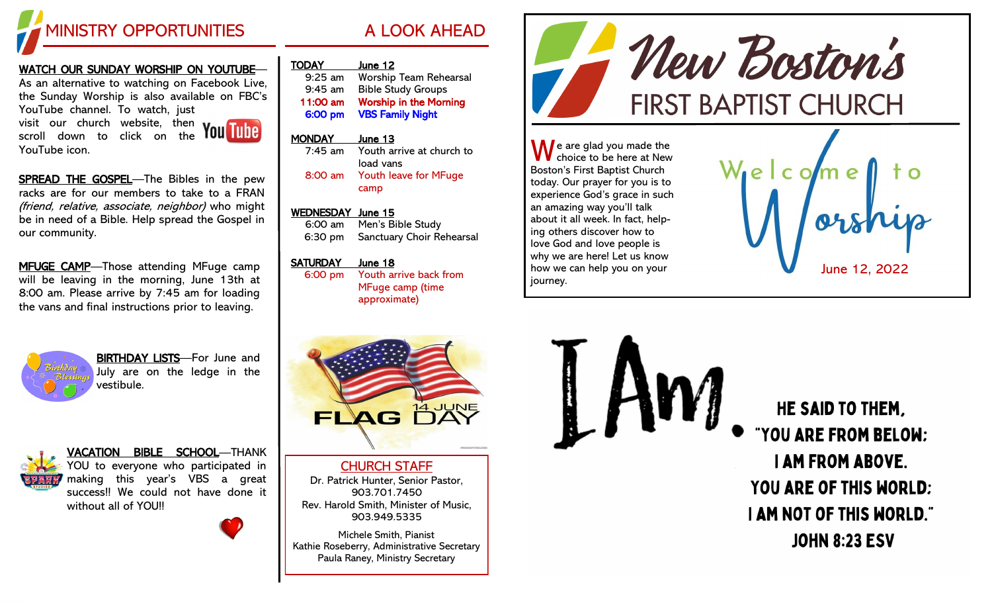

## WATCH OUR SUNDAY WORSHIP ON YOUTUBE—

As an alternative to watching on Facebook Live, the Sunday Worship is also available on FBC's YouTube channel. To watch, just visit our church website, then scroll down to click on the

SPREAD THE GOSPEL-The Bibles in the pew racks are for our members to take to a FRAN (friend, relative, associate, neighbor) who might be in need of a Bible. Help spread the Gospel in our community.

MFUGE CAMP-Those attending MFuge camp will be leaving in the morning, June 13th at 8:00 am. Please arrive by 7:45 am for loading the vans and final instructions prior to leaving.



YouTube icon.

BIRTHDAY LISTS—For June and July are on the ledge in the vestibule.



VACATION BIBLE SCHOOL—THANK YOU to everyone who participated in making this year's VBS a great success!! We could not have done it without all of YOU!!



8:00 am Youth leave for MFuge camp

#### WEDNESDAY June 15

TODAY June 12

6:00 am Men's Bible Study 6:30 pm Sanctuary Choir Rehearsal

#### SATURDAY June 18

6:00 pm Youth arrive back from MFuge camp (time approximate)



CHURCH STAFF Dr. Patrick Hunter, Senior Pastor, 903.701.7450 Rev. Harold Smith, Minister of Music, 903.949.5335

Michele Smith, Pianist Kathie Roseberry, Administrative Secretary Paula Raney, Ministry Secretary



Boston's First Baptist Church today. Our prayer for you is to experience God's grace in such an amazing way you'll talk about it all week. In fact, helping others discover how to love God and love people is why we are here! Let us know how we can help you on your journey.



HE SAID TO THEM. "YOU ARE FROM BELOW: **I AM FROM ABOVE. YOU ARE OF THIS WORLD: I AM NOT OF THIS WORLD." JOHN 8:23 ESV**